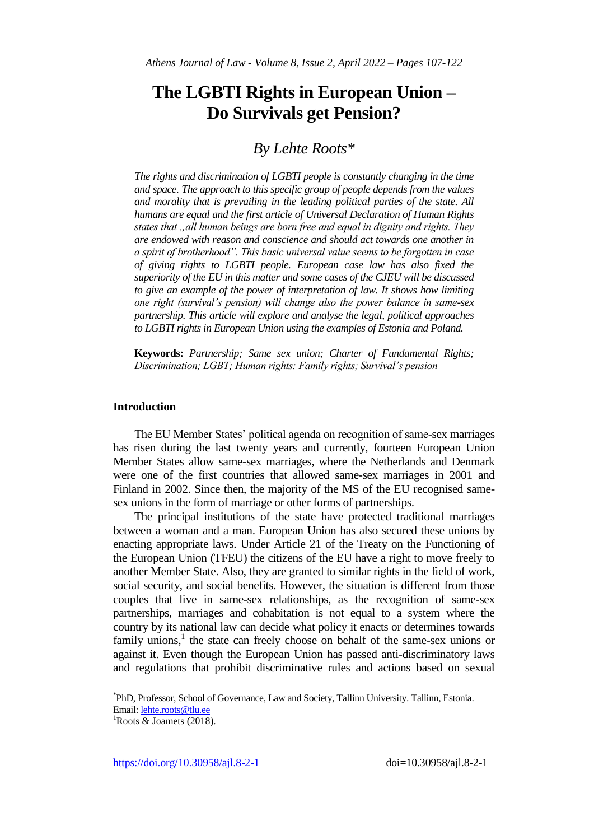# **The LGBTI Rights in European Union – Do Survivals get Pension?**

## *By Lehte Roots\**

*The rights and discrimination of LGBTI people is constantly changing in the time and space. The approach to this specific group of people depends from the values and morality that is prevailing in the leading political parties of the state. All humans are equal and the first article of Universal Declaration of Human Rights states that "all human beings are born free and equal in dignity and rights. They are endowed with reason and conscience and should act towards one another in a spirit of brotherhood". This basic universal value seems to be forgotten in case of giving rights to LGBTI people. European case law has also fixed the superiority of the EU in this matter and some cases of the CJEU will be discussed to give an example of the power of interpretation of law. It shows how limiting one right (survival's pension) will change also the power balance in same-sex partnership. This article will explore and analyse the legal, political approaches to LGBTI rights in European Union using the examples of Estonia and Poland.* 

**Keywords:** *Partnership; Same sex union; Charter of Fundamental Rights; Discrimination; LGBT; Human rights: Family rights; Survival's pension*

## **Introduction**

The EU Member States' political agenda on recognition of same-sex marriages has risen during the last twenty years and currently, fourteen European Union Member States allow same-sex marriages, where the Netherlands and Denmark were one of the first countries that allowed same-sex marriages in 2001 and Finland in 2002. Since then, the majority of the MS of the EU recognised samesex unions in the form of marriage or other forms of partnerships.

The principal institutions of the state have protected traditional marriages between a woman and a man. European Union has also secured these unions by enacting appropriate laws. Under Article 21 of the Treaty on the Functioning of the European Union (TFEU) the citizens of the EU have a right to move freely to another Member State. Also, they are granted to similar rights in the field of work, social security, and social benefits. However, the situation is different from those couples that live in same-sex relationships, as the recognition of same-sex partnerships, marriages and cohabitation is not equal to a system where the country by its national law can decide what policy it enacts or determines towards family unions,<sup>1</sup> the state can freely choose on behalf of the same-sex unions or against it. Even though the European Union has passed anti-discriminatory laws and regulations that prohibit discriminative rules and actions based on sexual

 $\overline{a}$ 

https://doi.org/10.30958/ajl.8-2-1 doi=10.30958/ajl.8-2-1

<sup>\*</sup> PhD, Professor, School of Governance, Law and Society, Tallinn University. Tallinn, Estonia. Email: [lehte.roots@tlu.ee](mailto:lehte.roots@tlu.ee)

 ${}^{1}$ Roots & Joamets (2018).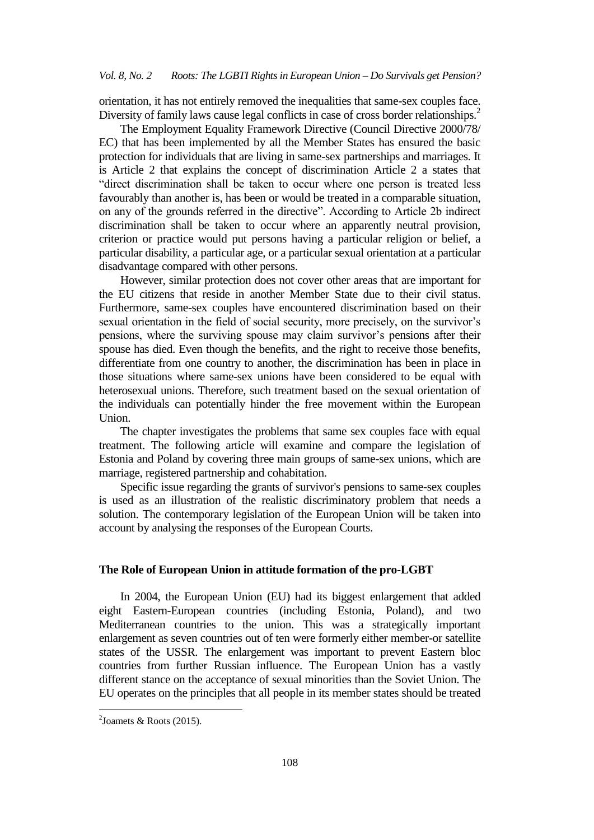orientation, it has not entirely removed the inequalities that same-sex couples face. Diversity of family laws cause legal conflicts in case of cross border relationships.<sup>2</sup>

The Employment Equality Framework Directive (Council Directive 2000/78/ EC) that has been implemented by all the Member States has ensured the basic protection for individuals that are living in same-sex partnerships and marriages. It is Article 2 that explains the concept of discrimination Article 2 a states that "direct discrimination shall be taken to occur where one person is treated less favourably than another is, has been or would be treated in a comparable situation, on any of the grounds referred in the directive". According to Article 2b indirect discrimination shall be taken to occur where an apparently neutral provision, criterion or practice would put persons having a particular religion or belief, a particular disability, a particular age, or a particular sexual orientation at a particular disadvantage compared with other persons.

However, similar protection does not cover other areas that are important for the EU citizens that reside in another Member State due to their civil status. Furthermore, same-sex couples have encountered discrimination based on their sexual orientation in the field of social security, more precisely, on the survivor's pensions, where the surviving spouse may claim survivor's pensions after their spouse has died. Even though the benefits, and the right to receive those benefits, differentiate from one country to another, the discrimination has been in place in those situations where same-sex unions have been considered to be equal with heterosexual unions. Therefore, such treatment based on the sexual orientation of the individuals can potentially hinder the free movement within the European Union.

The chapter investigates the problems that same sex couples face with equal treatment. The following article will examine and compare the legislation of Estonia and Poland by covering three main groups of same-sex unions, which are marriage, registered partnership and cohabitation.

Specific issue regarding the grants of survivor's pensions to same-sex couples is used as an illustration of the realistic discriminatory problem that needs a solution. The contemporary legislation of the European Union will be taken into account by analysing the responses of the European Courts.

## **The Role of European Union in attitude formation of the pro-LGBT**

In 2004, the European Union (EU) had its biggest enlargement that added eight Eastern-European countries (including Estonia, Poland), and two Mediterranean countries to the union. This was a strategically important enlargement as seven countries out of ten were formerly either member-or satellite states of the USSR. The enlargement was important to prevent Eastern bloc countries from further Russian influence. The European Union has a vastly different stance on the acceptance of sexual minorities than the Soviet Union. The EU operates on the principles that all people in its member states should be treated

1

 $2$ Joamets & Roots (2015).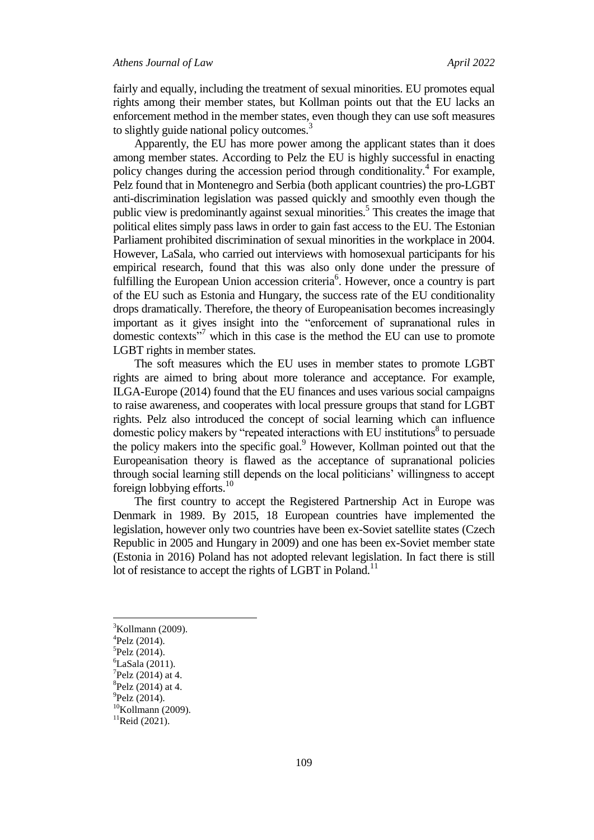fairly and equally, including the treatment of sexual minorities. EU promotes equal rights among their member states, but Kollman points out that the EU lacks an enforcement method in the member states, even though they can use soft measures to slightly guide national policy outcomes.<sup>3</sup>

Apparently, the EU has more power among the applicant states than it does among member states. According to Pelz the EU is highly successful in enacting policy changes during the accession period through conditionality.<sup>4</sup> For example, Pelz found that in Montenegro and Serbia (both applicant countries) the pro-LGBT anti-discrimination legislation was passed quickly and smoothly even though the public view is predominantly against sexual minorities.<sup>5</sup> This creates the image that political elites simply pass laws in order to gain fast access to the EU. The Estonian Parliament prohibited discrimination of sexual minorities in the workplace in 2004. However, LaSala, who carried out interviews with homosexual participants for his empirical research, found that this was also only done under the pressure of fulfilling the European Union accession criteria<sup>6</sup>. However, once a country is part of the EU such as Estonia and Hungary, the success rate of the EU conditionality drops dramatically. Therefore, the theory of Europeanisation becomes increasingly important as it gives insight into the "enforcement of supranational rules in domestic contexts $17$  which in this case is the method the EU can use to promote LGBT rights in member states.

The soft measures which the EU uses in member states to promote LGBT rights are aimed to bring about more tolerance and acceptance. For example, ILGA-Europe (2014) found that the EU finances and uses various social campaigns to raise awareness, and cooperates with local pressure groups that stand for LGBT rights. Pelz also introduced the concept of social learning which can influence domestic policy makers by "repeated interactions with EU institutions $8$  to persuade the policy makers into the specific goal.<sup>9</sup> However, Kollman pointed out that the Europeanisation theory is flawed as the acceptance of supranational policies through social learning still depends on the local politicians" willingness to accept foreign lobbying efforts.<sup>10</sup>

The first country to accept the Registered Partnership Act in Europe was Denmark in 1989. By 2015, 18 European countries have implemented the legislation, however only two countries have been ex-Soviet satellite states (Czech Republic in 2005 and Hungary in 2009) and one has been ex-Soviet member state (Estonia in 2016) Poland has not adopted relevant legislation. In fact there is still lot of resistance to accept the rights of LGBT in Poland.<sup>11</sup>

 ${}^{3}$ Kollmann (2009).

<sup>4</sup> Pelz (2014).

<sup>5</sup> Pelz (2014).

 ${}^{6}$ LaSala (2011).

 $7$ Pelz (2014) at 4.

 ${}^{8}$ Pelz (2014) at 4.

 $^{9}$ Pelz (2014).

 $10$ Kollmann (2009).

 $11$ Reid (2021).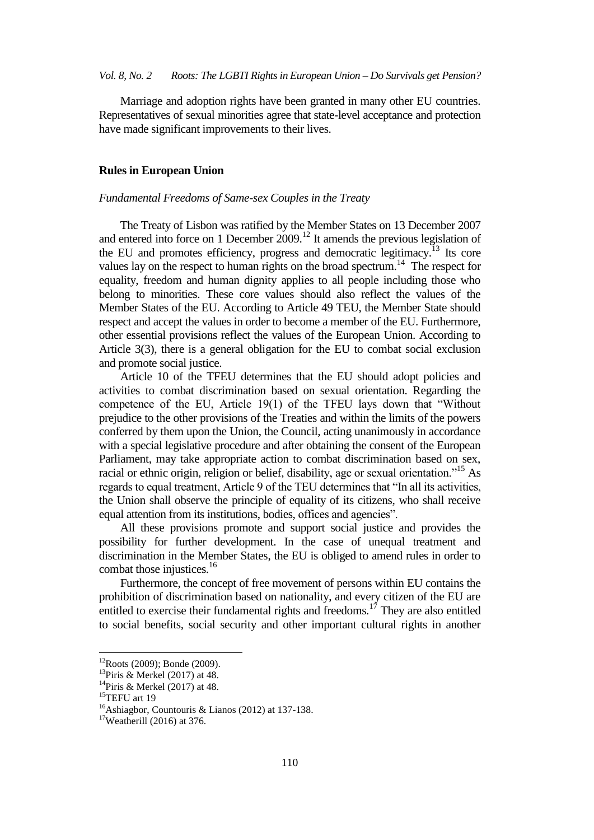Marriage and adoption rights have been granted in many other EU countries. Representatives of sexual minorities agree that state-level acceptance and protection have made significant improvements to their lives.

### **Rules in European Union**

#### *Fundamental Freedoms of Same-sex Couples in the Treaty*

The Treaty of Lisbon was ratified by the Member States on 13 December 2007 and entered into force on 1 December  $2009$ .<sup>12</sup> It amends the previous legislation of the EU and promotes efficiency, progress and democratic legitimacy.<sup>13</sup> Its core values lay on the respect to human rights on the broad spectrum.<sup>14</sup> The respect for equality, freedom and human dignity applies to all people including those who belong to minorities. These core values should also reflect the values of the Member States of the EU. According to Article 49 TEU, the Member State should respect and accept the values in order to become a member of the EU. Furthermore, other essential provisions reflect the values of the European Union. According to Article 3(3), there is a general obligation for the EU to combat social exclusion and promote social justice.

Article 10 of the TFEU determines that the EU should adopt policies and activities to combat discrimination based on sexual orientation. Regarding the competence of the EU, Article 19(1) of the TFEU lays down that "Without prejudice to the other provisions of the Treaties and within the limits of the powers conferred by them upon the Union, the Council, acting unanimously in accordance with a special legislative procedure and after obtaining the consent of the European Parliament, may take appropriate action to combat discrimination based on sex, racial or ethnic origin, religion or belief, disability, age or sexual orientation."<sup>15</sup> As regards to equal treatment, Article 9 of the TEU determines that "In all its activities, the Union shall observe the principle of equality of its citizens, who shall receive equal attention from its institutions, bodies, offices and agencies".

All these provisions promote and support social justice and provides the possibility for further development. In the case of unequal treatment and discrimination in the Member States, the EU is obliged to amend rules in order to combat those injustices.<sup>16</sup>

Furthermore, the concept of free movement of persons within EU contains the prohibition of discrimination based on nationality, and every citizen of the EU are entitled to exercise their fundamental rights and freedoms.<sup>17</sup> They are also entitled to social benefits, social security and other important cultural rights in another

 $12$ Roots (2009); Bonde (2009).

 $13$ Piris & Merkel (2017) at 48.

<sup>&</sup>lt;sup>14</sup>Piris & Merkel (2017) at 48.

 $15$ TEFU art 19

<sup>&</sup>lt;sup>16</sup>Ashiagbor, Countouris & Lianos (2012) at 137-138.

<sup>17</sup>Weatherill (2016) at 376.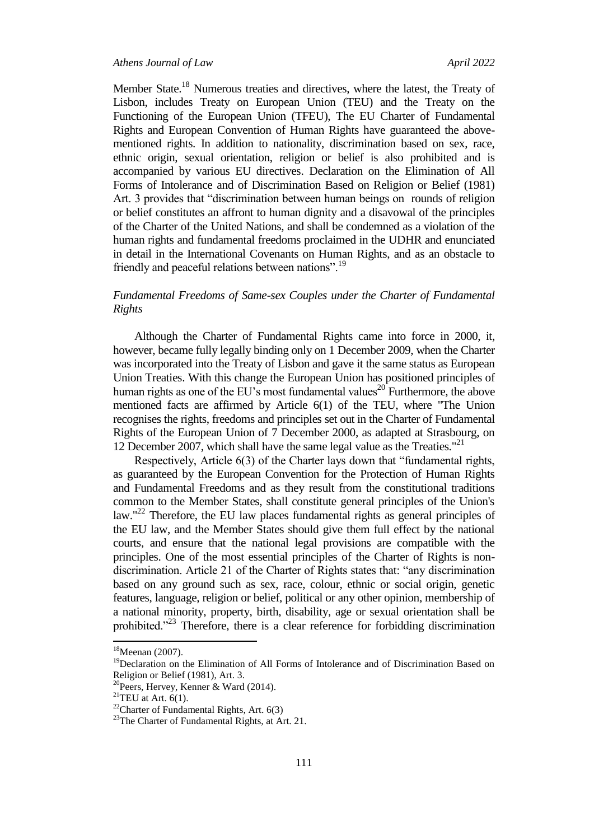Member State.<sup>18</sup> Numerous treaties and directives, where the latest, the Treaty of Lisbon, includes Treaty on European Union (TEU) and the Treaty on the Functioning of the European Union (TFEU), The EU Charter of Fundamental Rights and European Convention of Human Rights have guaranteed the abovementioned rights. In addition to nationality, discrimination based on sex, race, ethnic origin, sexual orientation, religion or belief is also prohibited and is accompanied by various EU directives. Declaration on the Elimination of All Forms of Intolerance and of Discrimination Based on Religion or Belief (1981) Art. 3 provides that "discrimination between human beings on rounds of religion or belief constitutes an affront to human dignity and a disavowal of the principles of the Charter of the United Nations, and shall be condemned as a violation of the human rights and fundamental freedoms proclaimed in the UDHR and enunciated in detail in the International Covenants on Human Rights, and as an obstacle to friendly and peaceful relations between nations".<sup>19</sup>

## *Fundamental Freedoms of Same-sex Couples under the Charter of Fundamental Rights*

Although the Charter of Fundamental Rights came into force in 2000, it, however, became fully legally binding only on 1 December 2009, when the Charter was incorporated into the Treaty of Lisbon and gave it the same status as European Union Treaties. With this change the European Union has positioned principles of human rights as one of the EU's most fundamental values<sup>20</sup> Furthermore, the above mentioned facts are affirmed by Article 6(1) of the TEU, where "The Union recognises the rights, freedoms and principles set out in the Charter of Fundamental Rights of the European Union of 7 December 2000, as adapted at Strasbourg, on 12 December 2007, which shall have the same legal value as the Treaties."<sup>21</sup>

Respectively, Article 6(3) of the Charter lays down that "fundamental rights, as guaranteed by the European Convention for the Protection of Human Rights and Fundamental Freedoms and as they result from the constitutional traditions common to the Member States, shall constitute general principles of the Union's law."<sup>22</sup> Therefore, the EU law places fundamental rights as general principles of the EU law, and the Member States should give them full effect by the national courts, and ensure that the national legal provisions are compatible with the principles. One of the most essential principles of the Charter of Rights is nondiscrimination. Article 21 of the Charter of Rights states that: "any discrimination based on any ground such as sex, race, colour, ethnic or social origin, genetic features, language, religion or belief, political or any other opinion, membership of a national minority, property, birth, disability, age or sexual orientation shall be prohibited."<sup>23</sup> Therefore, there is a clear reference for forbidding discrimination

 $18$ Meenan (2007).

<sup>&</sup>lt;sup>19</sup>Declaration on the Elimination of All Forms of Intolerance and of Discrimination Based on Religion or Belief (1981), Art. 3.

<sup>20</sup>Peers, Hervey, Kenner & Ward (2014).

<sup>&</sup>lt;sup>21</sup>TEU at Art.  $6(1)$ .

 $^{22}$ Charter of Fundamental Rights, Art. 6(3)

<sup>&</sup>lt;sup>23</sup>The Charter of Fundamental Rights, at Art. 21.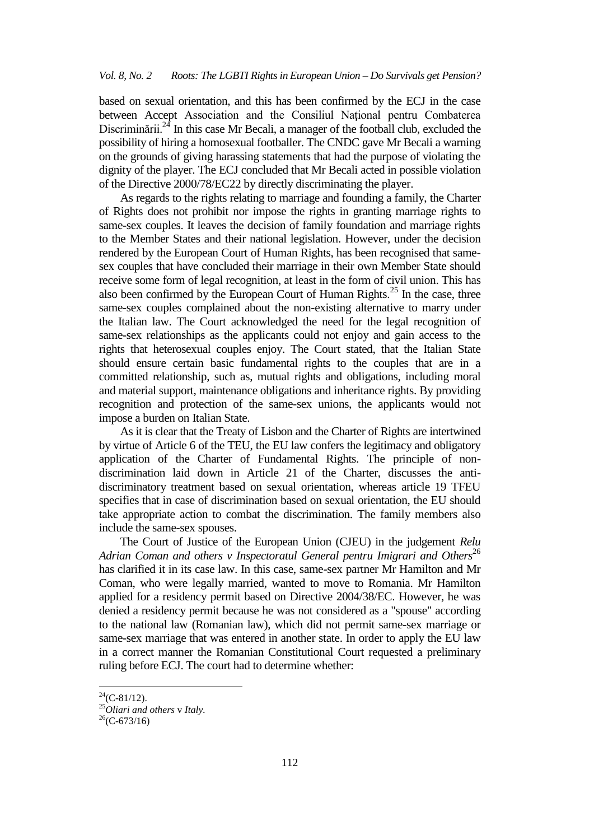based on sexual orientation, and this has been confirmed by the ECJ in the case between Accept Association and the Consiliul Naţional pentru Combaterea Discriminării.<sup>24</sup> In this case Mr Becali, a manager of the football club, excluded the possibility of hiring a homosexual footballer. The CNDC gave Mr Becali a warning on the grounds of giving harassing statements that had the purpose of violating the dignity of the player. The ECJ concluded that Mr Becali acted in possible violation of the Directive 2000/78/EC22 by directly discriminating the player.

As regards to the rights relating to marriage and founding a family, the Charter of Rights does not prohibit nor impose the rights in granting marriage rights to same-sex couples. It leaves the decision of family foundation and marriage rights to the Member States and their national legislation. However, under the decision rendered by the European Court of Human Rights, has been recognised that samesex couples that have concluded their marriage in their own Member State should receive some form of legal recognition, at least in the form of civil union. This has also been confirmed by the European Court of Human Rights.<sup>25</sup> In the case, three same-sex couples complained about the non-existing alternative to marry under the Italian law. The Court acknowledged the need for the legal recognition of same-sex relationships as the applicants could not enjoy and gain access to the rights that heterosexual couples enjoy. The Court stated, that the Italian State should ensure certain basic fundamental rights to the couples that are in a committed relationship, such as, mutual rights and obligations, including moral and material support, maintenance obligations and inheritance rights. By providing recognition and protection of the same-sex unions, the applicants would not impose a burden on Italian State.

As it is clear that the Treaty of Lisbon and the Charter of Rights are intertwined by virtue of Article 6 of the TEU, the EU law confers the legitimacy and obligatory application of the Charter of Fundamental Rights. The principle of nondiscrimination laid down in Article 21 of the Charter, discusses the antidiscriminatory treatment based on sexual orientation, whereas article 19 TFEU specifies that in case of discrimination based on sexual orientation, the EU should take appropriate action to combat the discrimination. The family members also include the same-sex spouses.

The Court of Justice of the European Union (CJEU) in the judgement *Relu*  Adrian Coman and others *v* Inspectoratul General pentru Imigrari and Others<sup>26</sup> has clarified it in its case law. In this case, same-sex partner Mr Hamilton and Mr Coman, who were legally married, wanted to move to Romania. Mr Hamilton applied for a residency permit based on Directive 2004/38/EC. However, he was denied a residency permit because he was not considered as a "spouse" according to the national law (Romanian law), which did not permit same-sex marriage or same-sex marriage that was entered in another state. In order to apply the EU law in a correct manner the Romanian Constitutional Court requested a preliminary ruling before ECJ. The court had to determine whether:

 $^{24}$ (C-81/12).

<sup>25</sup>*Oliari and others* v *Italy.*

 $^{26}$ (C-673/16)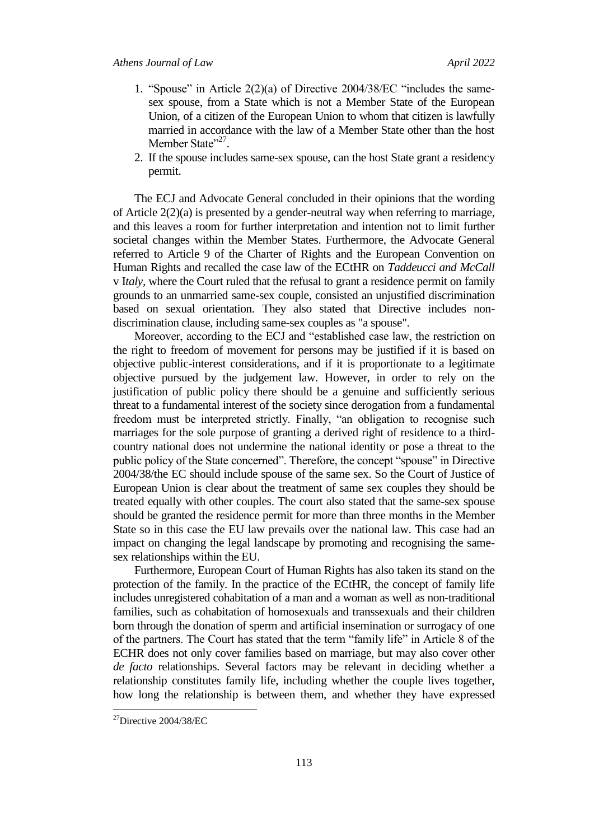- 1. "Spouse" in Article 2(2)(a) of Directive 2004/38/EC "includes the samesex spouse, from a State which is not a Member State of the European Union, of a citizen of the European Union to whom that citizen is lawfully married in accordance with the law of a Member State other than the host Member State"<sup>27</sup>.
- 2. If the spouse includes same-sex spouse, can the host State grant a residency permit.

The ECJ and Advocate General concluded in their opinions that the wording of Article 2(2)(a) is presented by a gender-neutral way when referring to marriage, and this leaves a room for further interpretation and intention not to limit further societal changes within the Member States. Furthermore, the Advocate General referred to Article 9 of the Charter of Rights and the European Convention on Human Rights and recalled the case law of the ECtHR on *Taddeucci and McCall* v I*taly*, where the Court ruled that the refusal to grant a residence permit on family grounds to an unmarried same-sex couple, consisted an unjustified discrimination based on sexual orientation. They also stated that Directive includes nondiscrimination clause, including same-sex couples as "a spouse".

Moreover, according to the ECJ and "established case law, the restriction on the right to freedom of movement for persons may be justified if it is based on objective public-interest considerations, and if it is proportionate to a legitimate objective pursued by the judgement law. However, in order to rely on the justification of public policy there should be a genuine and sufficiently serious threat to a fundamental interest of the society since derogation from a fundamental freedom must be interpreted strictly. Finally, "an obligation to recognise such marriages for the sole purpose of granting a derived right of residence to a thirdcountry national does not undermine the national identity or pose a threat to the public policy of the State concerned". Therefore, the concept "spouse" in Directive 2004/38/the EC should include spouse of the same sex. So the Court of Justice of European Union is clear about the treatment of same sex couples they should be treated equally with other couples. The court also stated that the same-sex spouse should be granted the residence permit for more than three months in the Member State so in this case the EU law prevails over the national law. This case had an impact on changing the legal landscape by promoting and recognising the samesex relationships within the EU.

Furthermore, European Court of Human Rights has also taken its stand on the protection of the family. In the practice of the ECtHR, the concept of family life includes unregistered cohabitation of a man and a woman as well as non-traditional families, such as cohabitation of homosexuals and transsexuals and their children born through the donation of sperm and artificial insemination or surrogacy of one of the partners. The Court has stated that the term "family life" in Article 8 of the ECHR does not only cover families based on marriage, but may also cover other *de facto* relationships. Several factors may be relevant in deciding whether a relationship constitutes family life, including whether the couple lives together, how long the relationship is between them, and whether they have expressed

 $^{27}$ Directive 2004/38/EC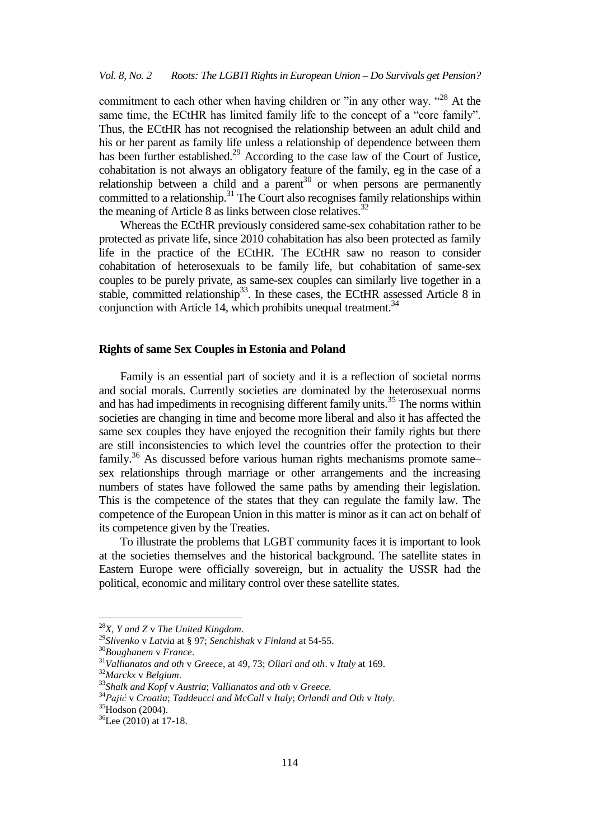commitment to each other when having children or "in any other way. "<sup>28</sup> At the same time, the ECtHR has limited family life to the concept of a "core family". Thus, the ECtHR has not recognised the relationship between an adult child and his or her parent as family life unless a relationship of dependence between them has been further established.<sup>29</sup> According to the case law of the Court of Justice, cohabitation is not always an obligatory feature of the family, eg in the case of a relationship between a child and a parent<sup>30</sup> or when persons are permanently committed to a relationship.<sup>31</sup> The Court also recognises family relationships within the meaning of Article 8 as links between close relatives.<sup>32</sup>

Whereas the ECtHR previously considered same-sex cohabitation rather to be protected as private life, since 2010 cohabitation has also been protected as family life in the practice of the ECtHR. The ECtHR saw no reason to consider cohabitation of heterosexuals to be family life, but cohabitation of same-sex couples to be purely private, as same-sex couples can similarly live together in a stable, committed relationship<sup>33</sup>. In these cases, the ECtHR assessed Article 8 in conjunction with Article 14, which prohibits unequal treatment.<sup>34</sup>

## **Rights of same Sex Couples in Estonia and Poland**

Family is an essential part of society and it is a reflection of societal norms and social morals. Currently societies are dominated by the heterosexual norms and has had impediments in recognising different family units.<sup>35</sup> The norms within societies are changing in time and become more liberal and also it has affected the same sex couples they have enjoyed the recognition their family rights but there are still inconsistencies to which level the countries offer the protection to their family.<sup>36</sup> As discussed before various human rights mechanisms promote same– sex relationships through marriage or other arrangements and the increasing numbers of states have followed the same paths by amending their legislation. This is the competence of the states that they can regulate the family law. The competence of the European Union in this matter is minor as it can act on behalf of its competence given by the Treaties.

To illustrate the problems that LGBT community faces it is important to look at the societies themselves and the historical background. The satellite states in Eastern Europe were officially sovereign, but in actuality the USSR had the political, economic and military control over these satellite states.

<sup>28</sup>*X, Y and Z* v *The United Kingdom*.

<sup>29</sup>*Slivenko* v *Latvia* at § 97; *Senchishak* v *Finland* at 54-55.

<sup>30</sup>*Boughanem* v *France*.

<sup>31</sup>*Vallianatos and oth* v *Greece*, at 49, 73; *Oliari and oth*. v *Italy* at 169.

<sup>32</sup>*Marckx* v *Belgium*.

<sup>33</sup>*Shalk and Kopf* v *Austria*; *Vallianatos and oth* v *Greece.*

<sup>34</sup>*Pajić* v *Croatia*; *Taddeucci and McCall* v *Italy*; *Orlandi and Oth* v *Italy*.

 $35H$ odson (2004).

<sup>36</sup>Lee (2010) at 17-18.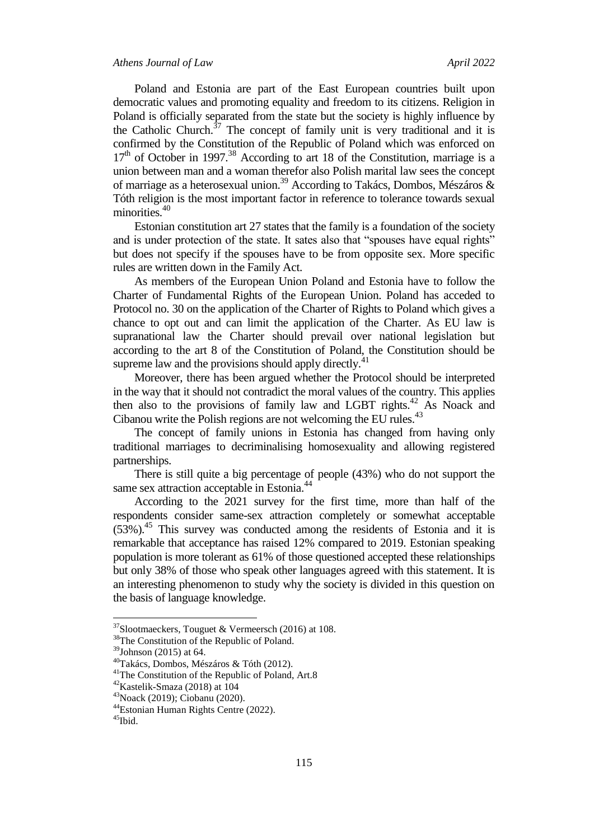Poland and Estonia are part of the East European countries built upon democratic values and promoting equality and freedom to its citizens. Religion in Poland is officially separated from the state but the society is highly influence by the Catholic Church. $37$  The concept of family unit is very traditional and it is confirmed by the Constitution of the Republic of Poland which was enforced on  $17<sup>th</sup>$  of October in 1997.<sup>38</sup> According to art 18 of the Constitution, marriage is a union between man and a woman therefor also Polish marital law sees the concept of marriage as a heterosexual union.<sup>39</sup> According to Takács, Dombos, Mészáros & Tóth religion is the most important factor in reference to tolerance towards sexual minorities.<sup>40</sup>

Estonian constitution art 27 states that the family is a foundation of the society and is under protection of the state. It sates also that "spouses have equal rights" but does not specify if the spouses have to be from opposite sex. More specific rules are written down in the Family Act.

As members of the European Union Poland and Estonia have to follow the Charter of Fundamental Rights of the European Union. Poland has acceded to Protocol no. 30 on the application of the Charter of Rights to Poland which gives a chance to opt out and can limit the application of the Charter. As EU law is supranational law the Charter should prevail over national legislation but according to the art 8 of the Constitution of Poland, the Constitution should be supreme law and the provisions should apply directly.<sup>41</sup>

Moreover, there has been argued whether the Protocol should be interpreted in the way that it should not contradict the moral values of the country. This applies then also to the provisions of family law and LGBT rights. $42$  As Noack and Cibanou write the Polish regions are not welcoming the EU rules. $43$ 

The concept of family unions in Estonia has changed from having only traditional marriages to decriminalising homosexuality and allowing registered partnerships.

There is still quite a big percentage of people (43%) who do not support the same sex attraction acceptable in Estonia.<sup>44</sup>

According to the 2021 survey for the first time, more than half of the respondents consider same-sex attraction completely or somewhat acceptable  $(53%)$ <sup>45</sup> This survey was conducted among the residents of Estonia and it is remarkable that acceptance has raised 12% compared to 2019. Estonian speaking population is more tolerant as 61% of those questioned accepted these relationships but only 38% of those who speak other languages agreed with this statement. It is an interesting phenomenon to study why the society is divided in this question on the basis of language knowledge.

 $37$ Slootmaeckers, Touguet & Vermeersch (2016) at 108.

<sup>38</sup>The Constitution of the Republic of Poland.

<sup>39</sup>Johnson (2015) at 64.

<sup>40</sup>Takács, Dombos, Mészáros & Tóth (2012).

<sup>&</sup>lt;sup>41</sup>The Constitution of the Republic of Poland, Art.8

 $42$ Kastelik-Smaza (2018) at 104

<sup>43</sup>Noack (2019); Ciobanu (2020).

<sup>44</sup>Estonian Human Rights Centre (2022).

<sup>&</sup>lt;sup>45</sup>Ibid.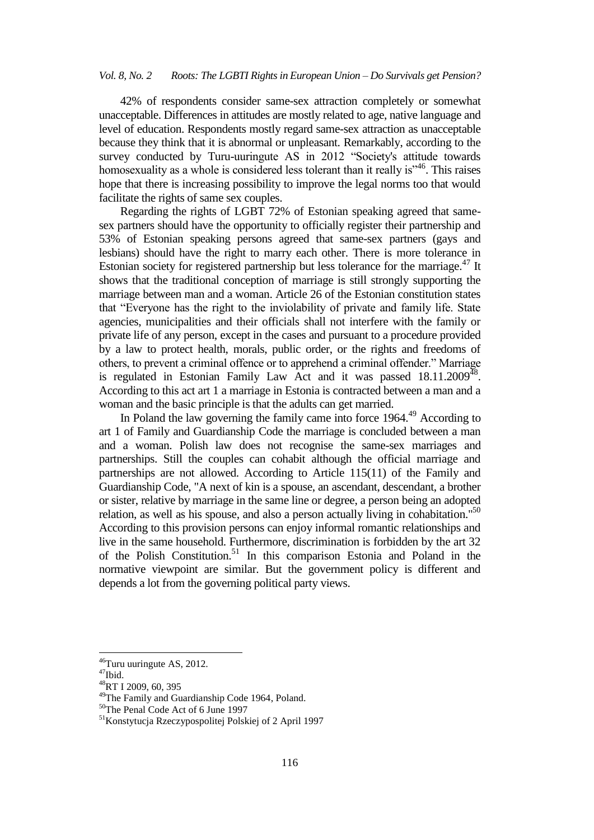42% of respondents consider same-sex attraction completely or somewhat unacceptable. Differences in attitudes are mostly related to age, native language and level of education. Respondents mostly regard same-sex attraction as unacceptable because they think that it is abnormal or unpleasant. Remarkably, according to the survey conducted by Turu-uuringute AS in 2012 "Society's attitude towards homosexuality as a whole is considered less tolerant than it really is<sup>346</sup>. This raises hope that there is increasing possibility to improve the legal norms too that would facilitate the rights of same sex couples.

Regarding the rights of LGBT 72% of Estonian speaking agreed that samesex partners should have the opportunity to officially register their partnership and 53% of Estonian speaking persons agreed that same-sex partners (gays and lesbians) should have the right to marry each other. There is more tolerance in Estonian society for registered partnership but less tolerance for the marriage.<sup>47</sup> It shows that the traditional conception of marriage is still strongly supporting the marriage between man and a woman. Article 26 of the Estonian constitution states that "Everyone has the right to the inviolability of private and family life. State agencies, municipalities and their officials shall not interfere with the family or private life of any person, except in the cases and pursuant to a procedure provided by a law to protect health, morals, public order, or the rights and freedoms of others, to prevent a criminal offence or to apprehend a criminal offender." Marriage is regulated in Estonian Family Law Act and it was passed  $18.11.2009<sup>48</sup>$ . According to this act art 1 a marriage in Estonia is contracted between a man and a woman and the basic principle is that the adults can get married.

In Poland the law governing the family came into force  $1964<sup>49</sup>$  According to art 1 of Family and Guardianship Code the marriage is concluded between a man and a woman. Polish law does not recognise the same-sex marriages and partnerships. Still the couples can cohabit although the official marriage and partnerships are not allowed. According to Article 115(11) of the Family and Guardianship Code, "A next of kin is a spouse, an ascendant, descendant, a brother or sister, relative by marriage in the same line or degree, a person being an adopted relation, as well as his spouse, and also a person actually living in cohabitation."<sup>50</sup> According to this provision persons can enjoy informal romantic relationships and live in the same household. Furthermore, discrimination is forbidden by the art 32 of the Polish Constitution.<sup>51</sup> In this comparison Estonia and Poland in the normative viewpoint are similar. But the government policy is different and depends a lot from the governing political party views.

 $46$ Turu uuringute AS, 2012.

 $47$ Ibid.

<sup>48</sup>RT I 2009, 60, 395

<sup>&</sup>lt;sup>49</sup>The Family and Guardianship Code 1964, Poland.

<sup>50</sup>The Penal Code Act of 6 June 1997

<sup>51</sup>Konstytucja Rzeczypospolitej Polskiej of 2 April 1997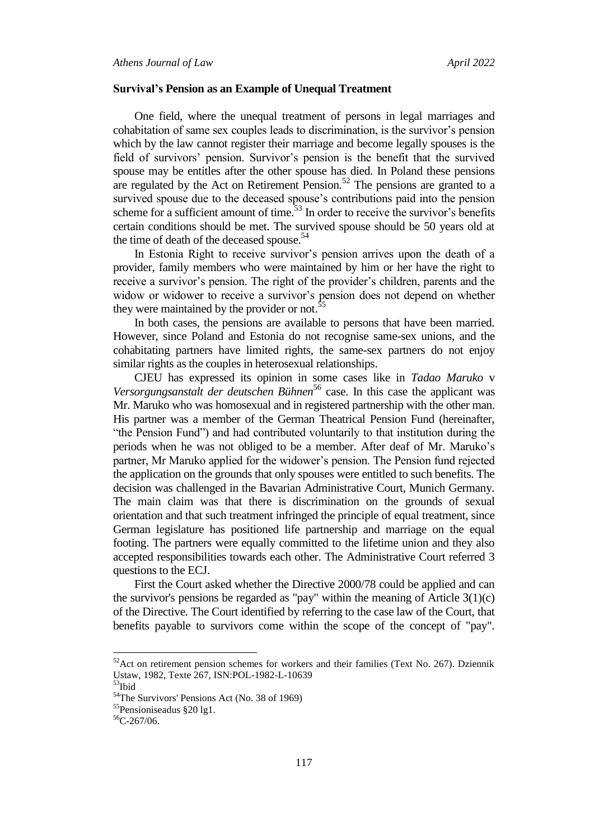#### **Survival's Pension as an Example of Unequal Treatment**

One field, where the unequal treatment of persons in legal marriages and cohabitation of same sex couples leads to discrimination, is the survivor"s pension which by the law cannot register their marriage and become legally spouses is the field of survivors' pension. Survivor's pension is the benefit that the survived spouse may be entitles after the other spouse has died. In Poland these pensions are regulated by the Act on Retirement Pension.<sup>52</sup> The pensions are granted to a survived spouse due to the deceased spouse's contributions paid into the pension scheme for a sufficient amount of time. $53$  In order to receive the survivor's benefits certain conditions should be met. The survived spouse should be 50 years old at the time of death of the deceased spouse.<sup>54</sup>

In Estonia Right to receive survivor's pension arrives upon the death of a provider, family members who were maintained by him or her have the right to receive a survivor's pension. The right of the provider's children, parents and the widow or widower to receive a survivor's pension does not depend on whether they were maintained by the provider or not.<sup>55</sup>

In both cases, the pensions are available to persons that have been married. However, since Poland and Estonia do not recognise same-sex unions, and the cohabitating partners have limited rights, the same-sex partners do not enjoy similar rights as the couples in heterosexual relationships.

CJEU has expressed its opinion in some cases like in *Tadao Maruko* v *Versorgungsanstalt der deutschen Bühnen*<sup>56</sup> case. In this case the applicant was Mr. Maruko who was homosexual and in registered partnership with the other man. His partner was a member of the German Theatrical Pension Fund (hereinafter, "the Pension Fund") and had contributed voluntarily to that institution during the periods when he was not obliged to be a member. After deaf of Mr. Maruko"s partner, Mr Maruko applied for the widower"s pension. The Pension fund rejected the application on the grounds that only spouses were entitled to such benefits. The decision was challenged in the Bavarian Administrative Court, Munich Germany. The main claim was that there is discrimination on the grounds of sexual orientation and that such treatment infringed the principle of equal treatment, since German legislature has positioned life partnership and marriage on the equal footing. The partners were equally committed to the lifetime union and they also accepted responsibilities towards each other. The Administrative Court referred 3 questions to the ECJ.

First the Court asked whether the Directive 2000/78 could be applied and can the survivor's pensions be regarded as "pay" within the meaning of Article  $3(1)(c)$ of the Directive. The Court identified by referring to the case law of the Court, that benefits payable to survivors come within the scope of the concept of "pay".

 $52$ Act on retirement pension schemes for workers and their families (Text No. 267). Dziennik Ustaw, 1982, Texte 267, ISN:POL-1982-L-10639

 $53$ Ibid

<sup>&</sup>lt;sup>54</sup>The Survivors' Pensions Act (No. 38 of 1969)

<sup>55</sup>Pensioniseadus §20 lg1.

<sup>56</sup>C-267/06.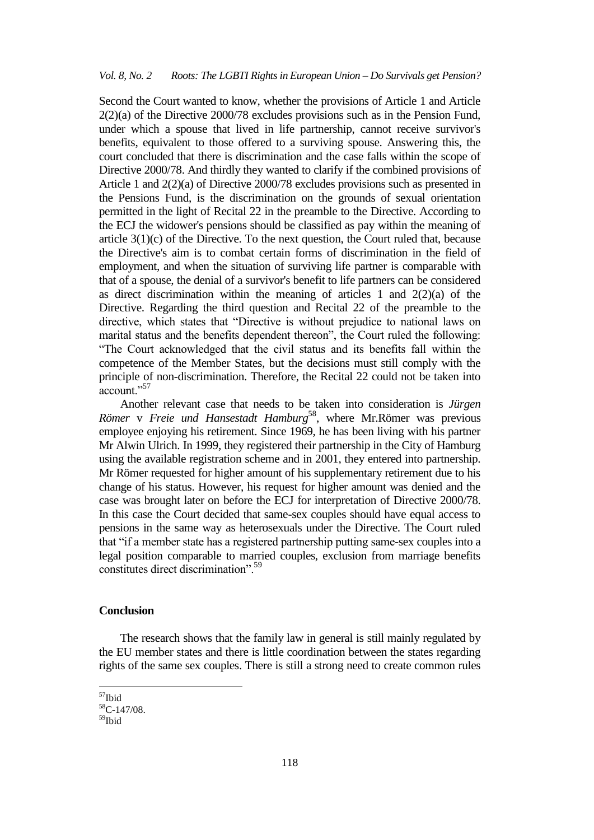Second the Court wanted to know, whether the provisions of Article 1 and Article 2(2)(a) of the Directive 2000/78 excludes provisions such as in the Pension Fund, under which a spouse that lived in life partnership, cannot receive survivor's benefits, equivalent to those offered to a surviving spouse. Answering this, the court concluded that there is discrimination and the case falls within the scope of Directive 2000/78. And thirdly they wanted to clarify if the combined provisions of Article 1 and 2(2)(a) of Directive 2000/78 excludes provisions such as presented in the Pensions Fund, is the discrimination on the grounds of sexual orientation permitted in the light of Recital 22 in the preamble to the Directive. According to the ECJ the widower's pensions should be classified as pay within the meaning of article 3(1)(c) of the Directive. To the next question, the Court ruled that, because the Directive's aim is to combat certain forms of discrimination in the field of employment, and when the situation of surviving life partner is comparable with that of a spouse, the denial of a survivor's benefit to life partners can be considered as direct discrimination within the meaning of articles 1 and  $2(2)(a)$  of the Directive. Regarding the third question and Recital 22 of the preamble to the directive, which states that "Directive is without prejudice to national laws on marital status and the benefits dependent thereon", the Court ruled the following: "The Court acknowledged that the civil status and its benefits fall within the competence of the Member States, but the decisions must still comply with the principle of non-discrimination. Therefore, the Recital 22 could not be taken into account."<sup>57</sup>

Another relevant case that needs to be taken into consideration is *Jürgen Römer* v *Freie und Hansestadt Hamburg*<sup>58</sup>, where Mr.Römer was previous employee enjoying his retirement. Since 1969, he has been living with his partner Mr Alwin Ulrich. In 1999, they registered their partnership in the City of Hamburg using the available registration scheme and in 2001, they entered into partnership. Mr Römer requested for higher amount of his supplementary retirement due to his change of his status. However, his request for higher amount was denied and the case was brought later on before the ECJ for interpretation of Directive 2000/78. In this case the Court decided that same-sex couples should have equal access to pensions in the same way as heterosexuals under the Directive. The Court ruled that "if a member state has a registered partnership putting same-sex couples into a legal position comparable to married couples, exclusion from marriage benefits constitutes direct discrimination".<sup>59</sup>

## **Conclusion**

The research shows that the family law in general is still mainly regulated by the EU member states and there is little coordination between the states regarding rights of the same sex couples. There is still a strong need to create common rules

<sup>&</sup>lt;sup>57</sup>Ibid

<sup>58</sup>C-147/08. 59<sub>Ibid</sub>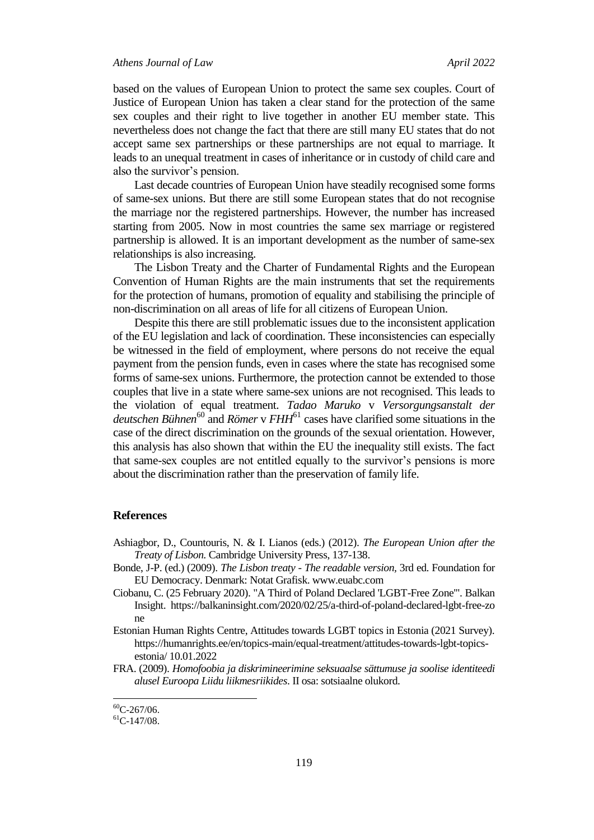#### *Athens Journal of Law April 2022*

based on the values of European Union to protect the same sex couples. Court of Justice of European Union has taken a clear stand for the protection of the same sex couples and their right to live together in another EU member state. This nevertheless does not change the fact that there are still many EU states that do not accept same sex partnerships or these partnerships are not equal to marriage. It leads to an unequal treatment in cases of inheritance or in custody of child care and also the survivor's pension.

Last decade countries of European Union have steadily recognised some forms of same-sex unions. But there are still some European states that do not recognise the marriage nor the registered partnerships. However, the number has increased starting from 2005. Now in most countries the same sex marriage or registered partnership is allowed. It is an important development as the number of same-sex relationships is also increasing.

The Lisbon Treaty and the Charter of Fundamental Rights and the European Convention of Human Rights are the main instruments that set the requirements for the protection of humans, promotion of equality and stabilising the principle of non-discrimination on all areas of life for all citizens of European Union.

Despite this there are still problematic issues due to the inconsistent application of the EU legislation and lack of coordination. These inconsistencies can especially be witnessed in the field of employment, where persons do not receive the equal payment from the pension funds, even in cases where the state has recognised some forms of same-sex unions. Furthermore, the protection cannot be extended to those couples that live in a state where same-sex unions are not recognised. This leads to the violation of equal treatment. *Tadao Maruko* v *Versorgungsanstalt der*  deutschen Bühnen<sup>60</sup> and *Römer* v FHH<sup>61</sup> cases have clarified some situations in the case of the direct discrimination on the grounds of the sexual orientation. However, this analysis has also shown that within the EU the inequality still exists. The fact that same-sex couples are not entitled equally to the survivor"s pensions is more about the discrimination rather than the preservation of family life.

#### **References**

- Ashiagbor, D., Countouris, N. & I. Lianos (eds.) (2012). *The European Union after the Treaty of Lisbon.* Cambridge University Press, 137-138.
- Bonde, J-P. (ed.) (2009). *The Lisbon treaty - The readable version,* 3rd ed. Foundation for EU Democracy. Denmark: Notat Grafisk. www.euabc.com
- Ciobanu, C. (25 February 2020). "A Third of Poland Declared 'LGBT-Free Zone'". Balkan Insight. https://balkaninsight.com/2020/02/25/a-third-of-poland-declared-lgbt-free-zo ne
- Estonian Human Rights Centre, Attitudes towards LGBT topics in Estonia (2021 Survey). https://humanrights.ee/en/topics-main/equal-treatment/attitudes-towards-lgbt-topicsestonia/ 10.01.2022
- FRA. (2009). *Homofoobia ja diskrimineerimine seksuaalse sättumuse ja soolise identiteedi alusel Euroopa Liidu liikmesriikides*. II osa: sotsiaalne olukord.

 $\overline{\phantom{a}}$ 

 ${}^{60}$ C-267/06.

 ${}^{61}$ C-147/08.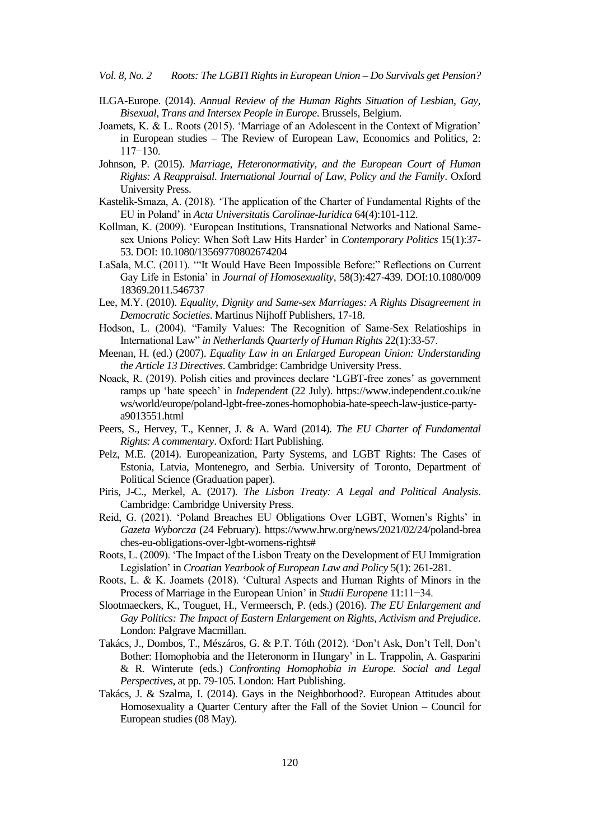- ILGA-Europe. (2014). *Annual Review of the Human Rights Situation of Lesbian, Gay, Bisexual, Trans and Intersex People in Europe*. Brussels, Belgium.
- Joamets, K. & L. Roots (2015). "Marriage of an Adolescent in the Context of Migration" in European studies – The Review of European Law, Economics and Politics, 2: 117−130.
- Johnson, P. (2015). *Marriage, Heteronormativity, and the European Court of Human Rights: A Reappraisal. International Journal of Law, Policy and the Family*. Oxford University Press.
- Kastelik-Smaza, A. (2018). "The application of the Charter of Fundamental Rights of the EU in Poland" in *Acta Universitatis Carolinae-Iuridica* 64(4):101-112.
- Kollman, K. (2009). "European Institutions, Transnational Networks and National Samesex Unions Policy: When Soft Law Hits Harder" in *Contemporary Politics* 15(1):37- 53. DOI: [10.1080/13569770802674204](https://doi.org/10.1080/13569770802674204)
- LaSala, M.C. (2011). ""It Would Have Been Impossible Before:" Reflections on Current Gay Life in Estonia" in *Journal of Homosexuality*, 58(3):427-439. DOI[:10.1080/009](http://dx.doi.org/10.1080/00918369.2011.546737) [18369.2011.546737](http://dx.doi.org/10.1080/00918369.2011.546737)
- Lee, M.Y. (2010). *Equality, Dignity and Same-sex Marriages: A Rights Disagreement in Democratic Societies*. Martinus Nijhoff Publishers, 17-18.
- Hodson, L. (2004). "Family Values: The Recognition of Same-Sex Relatioships in International Law" *in Netherlands Quarterly of Human Rights* 22(1):33-57.
- Meenan, H. (ed.) (2007). *Equality Law in an Enlarged European Union: Understanding the Article 13 Directives*. Cambridge: Cambridge University Press.
- Noack, R. (2019). Polish cities and provinces declare 'LGBT-free zones' as government ramps up "hate speech" in *Independen*t (22 July). https://www.independent.co.uk/ne ws/world/europe/poland-lgbt-free-zones-homophobia-hate-speech-law-justice-partya9013551.html
- Peers, S., Hervey, T., Kenner, J. & A. Ward (2014). *The EU Charter of Fundamental Rights: A commentary*. Oxford: Hart Publishing.
- Pelz, M.E. (2014). Europeanization, Party Systems, and LGBT Rights: The Cases of Estonia, Latvia, Montenegro, and Serbia. University of Toronto, Department of Political Science (Graduation paper).
- Piris, J-C., Merkel, A. (2017). *The Lisbon Treaty: A Legal and Political Analysis*. Cambridge: Cambridge University Press.
- Reid, G. (2021). "Poland Breaches EU Obligations Over LGBT, Women"s Rights" in *Gazeta Wyborcza* (24 February). https://www.hrw.org/news/2021/02/24/poland-brea ches-eu-obligations-over-lgbt-womens-rights#
- Roots, L. (2009). "The Impact of the Lisbon Treaty on the Development of EU Immigration Legislation" in *Croatian Yearbook of European Law and Policy* 5(1): 261-281.
- Roots, L. & K. Joamets (2018). "Cultural Aspects and Human Rights of Minors in the Process of Marriage in the European Union" in *Studii Europene* 11:11−34.
- Slootmaeckers, K., Touguet, H., Vermeersch, P. (eds.) (2016). *The EU Enlargement and Gay Politics: The Impact of Eastern Enlargement on Rights, Activism and Prejudice*. London: Palgrave Macmillan.
- Takács, J., Dombos, T., Mészáros, G. & P.T. Tóth (2012). "Don"t Ask, Don"t Tell, Don"t Bother: Homophobia and the Heteronorm in Hungary' in L. Trappolin, A. Gasparini & R. Winterute (eds.) *Confronting Homophobia in Europe. Social and Legal Perspectives*, at pp. 79-105. London: Hart Publishing.
- Takács, J. & Szalma, I. (2014). Gays in the Neighborhood?. European Attitudes about Homosexuality a Quarter Century after the Fall of the Soviet Union – Council for European studies (08 May).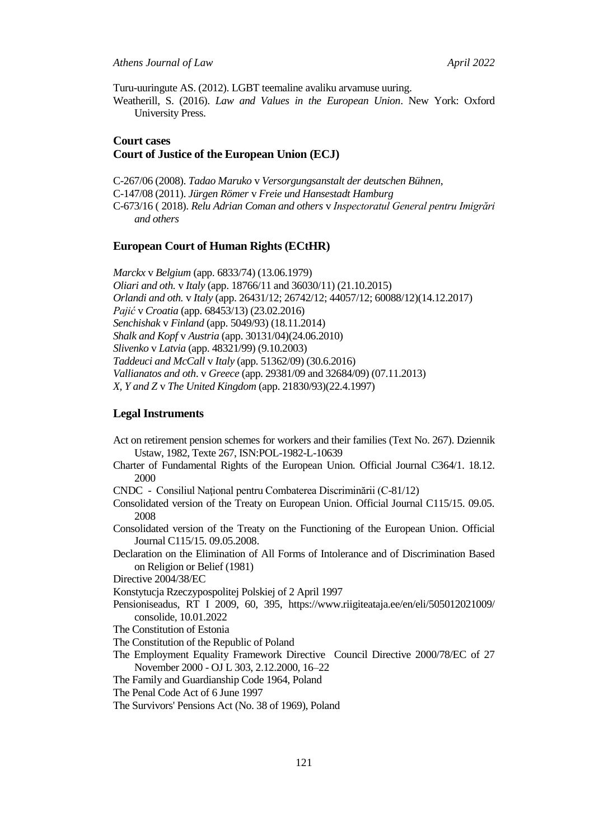Turu-uuringute AS. (2012). LGBT teemaline avaliku arvamuse uuring.

Weatherill, S. (2016). *Law and Values in the European Union*. New York: Oxford University Press.

## **Court cases Court of Justice of the European Union (ECJ)**

C-267/06 (2008). *Tadao Maruko* v *Versorgungsanstalt der deutschen Bühnen*, C-147/08 (2011). *Jürgen Römer* v *Freie und Hansestadt Hamburg* C-673/16 ( 2018). *Relu Adrian Coman and others* v *Inspectoratul General pentru Imigrări and others*

## **European Court of Human Rights (ECtHR)**

*Marckx* v *Belgium* (app. 6833/74) (13.06.1979) *Oliari and oth.* v *Italy* (app. 18766/11 and 36030/11) (21.10.2015) *Orlandi and oth.* v *Italy* (app. 26431/12; 26742/12; 44057/12; 60088/12)(14.12.2017) *Pajić* v *Croatia* (app. 68453/13) (23.02.2016) *Senchishak* v *Finland* (app. 5049/93) (18.11.2014) *Shalk and Kopf* v *Austria* (app. 30131/04)(24.06.2010) *Slivenko* v *Latvia* (app. 48321/99) (9.10.2003) *Taddeuci and McCall* v *Italy* (app. 51362/09) (30.6.2016) *Vallianatos and oth*. v *Greece* (app. 29381/09 and 32684/09) (07.11.2013) *X, Y and Z* v *The United Kingdom* (app. 21830/93)(22.4.1997)

### **Legal Instruments**

- Act on retirement pension schemes for workers and their families (Text No. 267). Dziennik Ustaw, 1982, Texte 267, ISN:POL-1982-L-10639
- Charter of Fundamental Rights of the European Union. Official Journal C364/1. 18.12. 2000
- CNDC Consiliul Naţional pentru Combaterea Discriminării (C-81/12)
- Consolidated version of the Treaty on European Union. Official Journal C115/15. 09.05. 2008
- Consolidated version of the Treaty on the Functioning of the European Union. Official Journal C115/15. 09.05.2008.
- Declaration on the Elimination of All Forms of Intolerance and of Discrimination Based on Religion or Belief (1981)
- Directive 2004/38/EC

Konstytucja Rzeczypospolitej Polskiej of 2 April 1997

- Pensioniseadus, RT I 2009, 60, 395, https://www.riigiteataja.ee/en/eli/505012021009/ consolide, 10.01.2022
- The Constitution of Estonia
- The Constitution of the Republic of Poland
- The Employment Equality Framework Directive Council Directive 2000/78/EC of 27 November 2000 - OJ L 303, 2.12.2000, 16–22
- The Family and Guardianship Code 1964, Poland
- The Penal Code Act of 6 June 1997
- The Survivors' Pensions Act (No. 38 of 1969), Poland